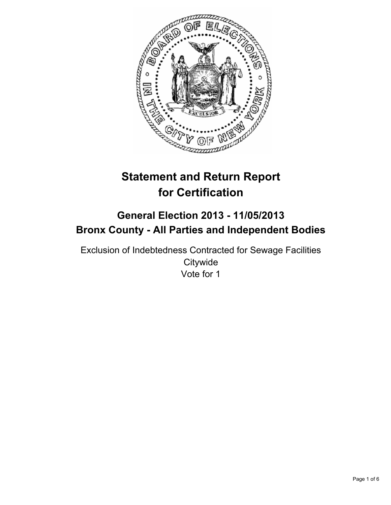

# **Statement and Return Report for Certification**

## **General Election 2013 - 11/05/2013 Bronx County - All Parties and Independent Bodies**

Exclusion of Indebtedness Contracted for Sewage Facilities **Citywide** Vote for 1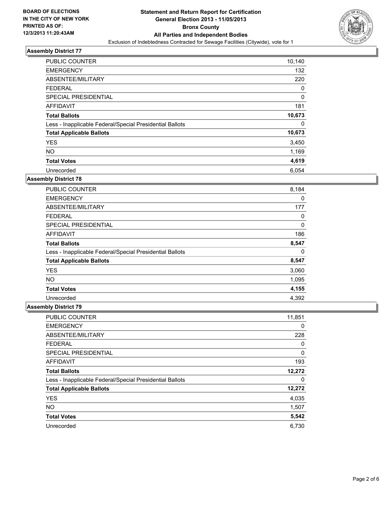

| PUBLIC COUNTER                                           | 10,140 |
|----------------------------------------------------------|--------|
| <b>EMERGENCY</b>                                         | 132    |
| ABSENTEE/MILITARY                                        | 220    |
| <b>FEDERAL</b>                                           | 0      |
| SPECIAL PRESIDENTIAL                                     | 0      |
| AFFIDAVIT                                                | 181    |
| <b>Total Ballots</b>                                     | 10,673 |
| Less - Inapplicable Federal/Special Presidential Ballots | 0      |
| <b>Total Applicable Ballots</b>                          | 10,673 |
| <b>YES</b>                                               | 3,450  |
| <b>NO</b>                                                | 1,169  |
| <b>Total Votes</b>                                       | 4,619  |
| Unrecorded                                               | 6.054  |

## **Assembly District 78**

| <b>PUBLIC COUNTER</b>                                    | 8,184 |
|----------------------------------------------------------|-------|
| <b>EMERGENCY</b>                                         | 0     |
| ABSENTEE/MILITARY                                        | 177   |
| <b>FEDERAL</b>                                           | 0     |
| <b>SPECIAL PRESIDENTIAL</b>                              | 0     |
| AFFIDAVIT                                                | 186   |
| <b>Total Ballots</b>                                     | 8,547 |
| Less - Inapplicable Federal/Special Presidential Ballots | 0     |
| <b>Total Applicable Ballots</b>                          | 8,547 |
| <b>YES</b>                                               | 3,060 |
| <b>NO</b>                                                | 1,095 |
| <b>Total Votes</b>                                       | 4,155 |
| Unrecorded                                               | 4.392 |

| PUBLIC COUNTER                                           | 11,851 |
|----------------------------------------------------------|--------|
| <b>EMERGENCY</b>                                         | 0      |
| ABSENTEE/MILITARY                                        | 228    |
| <b>FEDERAL</b>                                           | 0      |
| SPECIAL PRESIDENTIAL                                     | 0      |
| AFFIDAVIT                                                | 193    |
| <b>Total Ballots</b>                                     | 12,272 |
| Less - Inapplicable Federal/Special Presidential Ballots | 0      |
| <b>Total Applicable Ballots</b>                          | 12,272 |
| <b>YES</b>                                               | 4,035  |
| <b>NO</b>                                                | 1,507  |
| <b>Total Votes</b>                                       | 5,542  |
| Unrecorded                                               | 6,730  |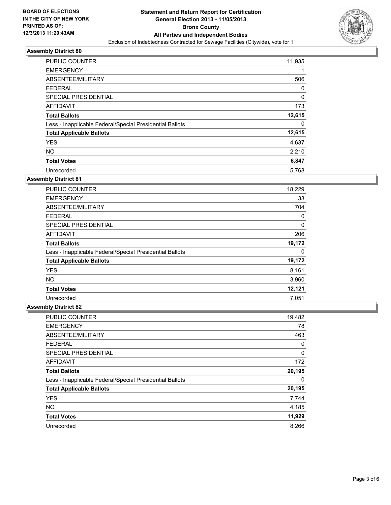

| <b>PUBLIC COUNTER</b>                                    | 11,935 |
|----------------------------------------------------------|--------|
| <b>EMERGENCY</b>                                         |        |
| ABSENTEE/MILITARY                                        | 506    |
| <b>FEDERAL</b>                                           | 0      |
| SPECIAL PRESIDENTIAL                                     | 0      |
| AFFIDAVIT                                                | 173    |
| <b>Total Ballots</b>                                     | 12,615 |
| Less - Inapplicable Federal/Special Presidential Ballots | 0      |
| <b>Total Applicable Ballots</b>                          | 12,615 |
| <b>YES</b>                                               | 4,637  |
| <b>NO</b>                                                | 2,210  |
| <b>Total Votes</b>                                       | 6,847  |
| Unrecorded                                               | 5,768  |

## **Assembly District 81**

| <b>PUBLIC COUNTER</b>                                    | 18,229 |
|----------------------------------------------------------|--------|
| <b>EMERGENCY</b>                                         | 33     |
| ABSENTEE/MILITARY                                        | 704    |
| <b>FEDERAL</b>                                           | 0      |
| SPECIAL PRESIDENTIAL                                     | 0      |
| AFFIDAVIT                                                | 206    |
| <b>Total Ballots</b>                                     | 19,172 |
| Less - Inapplicable Federal/Special Presidential Ballots | 0      |
| <b>Total Applicable Ballots</b>                          | 19,172 |
| <b>YES</b>                                               | 8,161  |
| <b>NO</b>                                                | 3,960  |
| <b>Total Votes</b>                                       | 12,121 |
| Unrecorded                                               | 7,051  |

| PUBLIC COUNTER                                           | 19,482 |
|----------------------------------------------------------|--------|
| <b>EMERGENCY</b>                                         | 78     |
| ABSENTEE/MILITARY                                        | 463    |
| <b>FEDERAL</b>                                           | 0      |
| SPECIAL PRESIDENTIAL                                     | 0      |
| AFFIDAVIT                                                | 172    |
| <b>Total Ballots</b>                                     | 20,195 |
| Less - Inapplicable Federal/Special Presidential Ballots | 0      |
| <b>Total Applicable Ballots</b>                          | 20,195 |
| <b>YES</b>                                               | 7,744  |
| <b>NO</b>                                                | 4,185  |
| <b>Total Votes</b>                                       | 11,929 |
| Unrecorded                                               | 8,266  |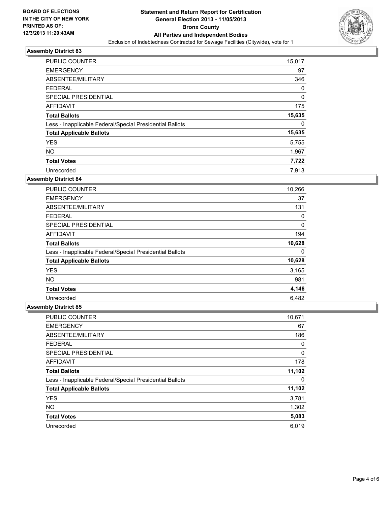

| <b>PUBLIC COUNTER</b>                                    | 15,017 |
|----------------------------------------------------------|--------|
| <b>EMERGENCY</b>                                         | 97     |
| ABSENTEE/MILITARY                                        | 346    |
| <b>FEDERAL</b>                                           | 0      |
| SPECIAL PRESIDENTIAL                                     | 0      |
| AFFIDAVIT                                                | 175    |
| <b>Total Ballots</b>                                     | 15,635 |
| Less - Inapplicable Federal/Special Presidential Ballots | 0      |
| <b>Total Applicable Ballots</b>                          | 15,635 |
| <b>YES</b>                                               | 5,755  |
| <b>NO</b>                                                | 1,967  |
| <b>Total Votes</b>                                       | 7,722  |
| Unrecorded                                               | 7.913  |

## **Assembly District 84**

| <b>PUBLIC COUNTER</b>                                    | 10,266 |
|----------------------------------------------------------|--------|
| <b>EMERGENCY</b>                                         | 37     |
| ABSENTEE/MILITARY                                        | 131    |
| <b>FEDERAL</b>                                           | 0      |
| <b>SPECIAL PRESIDENTIAL</b>                              | 0      |
| AFFIDAVIT                                                | 194    |
| <b>Total Ballots</b>                                     | 10,628 |
| Less - Inapplicable Federal/Special Presidential Ballots | 0      |
| <b>Total Applicable Ballots</b>                          | 10,628 |
| <b>YES</b>                                               | 3,165  |
| NO.                                                      | 981    |
| <b>Total Votes</b>                                       | 4,146  |
| Unrecorded                                               | 6,482  |

| <b>PUBLIC COUNTER</b>                                    | 10,671 |
|----------------------------------------------------------|--------|
| <b>EMERGENCY</b>                                         | 67     |
| ABSENTEE/MILITARY                                        | 186    |
| <b>FEDERAL</b>                                           | 0      |
| SPECIAL PRESIDENTIAL                                     | 0      |
| <b>AFFIDAVIT</b>                                         | 178    |
| <b>Total Ballots</b>                                     | 11,102 |
| Less - Inapplicable Federal/Special Presidential Ballots | 0      |
| <b>Total Applicable Ballots</b>                          | 11,102 |
| <b>YES</b>                                               | 3,781  |
| <b>NO</b>                                                | 1,302  |
| <b>Total Votes</b>                                       | 5,083  |
| Unrecorded                                               | 6,019  |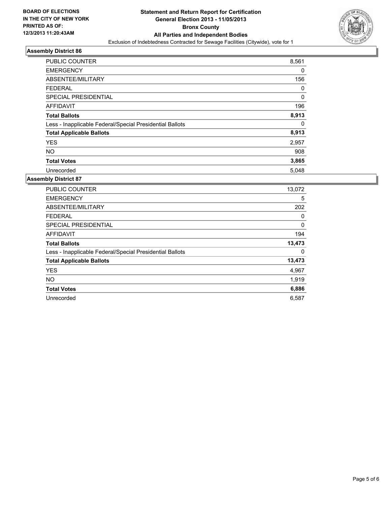

| <b>PUBLIC COUNTER</b>                                    | 8,561    |
|----------------------------------------------------------|----------|
| <b>EMERGENCY</b>                                         | 0        |
| ABSENTEE/MILITARY                                        | 156      |
| <b>FEDERAL</b>                                           | 0        |
| SPECIAL PRESIDENTIAL                                     | $\Omega$ |
| <b>AFFIDAVIT</b>                                         | 196      |
| <b>Total Ballots</b>                                     | 8,913    |
| Less - Inapplicable Federal/Special Presidential Ballots | 0        |
| <b>Total Applicable Ballots</b>                          | 8,913    |
| <b>YES</b>                                               | 2,957    |
| <b>NO</b>                                                | 908      |
| <b>Total Votes</b>                                       | 3,865    |
| Unrecorded                                               | 5,048    |

| PUBLIC COUNTER                                           | 13,072 |
|----------------------------------------------------------|--------|
| <b>EMERGENCY</b>                                         | 5      |
| ABSENTEE/MILITARY                                        | 202    |
| <b>FEDERAL</b>                                           | 0      |
| <b>SPECIAL PRESIDENTIAL</b>                              | 0      |
| <b>AFFIDAVIT</b>                                         | 194    |
| <b>Total Ballots</b>                                     | 13,473 |
| Less - Inapplicable Federal/Special Presidential Ballots | 0      |
| <b>Total Applicable Ballots</b>                          | 13,473 |
| <b>YES</b>                                               | 4,967  |
| <b>NO</b>                                                | 1,919  |
| <b>Total Votes</b>                                       | 6,886  |
| Unrecorded                                               | 6,587  |